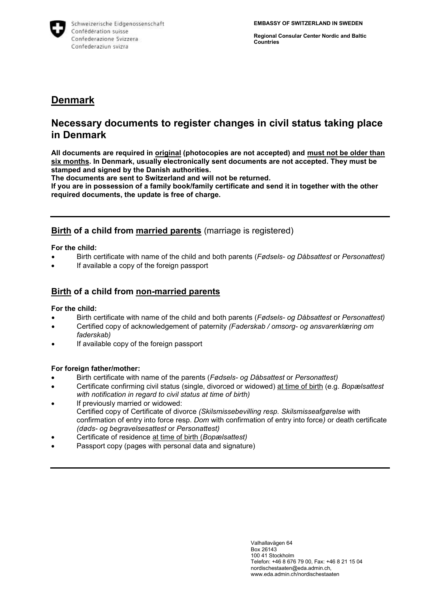

**Regional Consular Center Nordic and Baltic Countries**

# **Denmark**

# **Necessary documents to register changes in civil status taking place in Denmark**

**All documents are required in original (photocopies are not accepted) and must not be older than six months. In Denmark, usually electronically sent documents are not accepted. They must be stamped and signed by the Danish authorities.**

**The documents are sent to Switzerland and will not be returned.**

**If you are in possession of a family book/family certificate and send it in together with the other required documents, the update is free of charge.** 

## **Birth of a child from married parents** (marriage is registered)

**For the child:**

- Birth certificate with name of the child and both parents (*Fødsels- og Dåbsattest* or *Personattest)*
- If available a copy of the foreign passport

## **Birth of a child from non-married parents**

#### **For the child:**

- Birth certificate with name of the child and both parents (*Fødsels- og Dåbsattest* or *Personattest)*
- Certified copy of acknowledgement of paternity *(Faderskab / omsorg- og ansvarerklæring om faderskab)*
- If available copy of the foreign passport

#### **For foreign father/mother:**

- Birth certificate with name of the parents (*Fødsels- og Dåbsattest* or *Personattest)*
- Certificate confirming civil status (single, divorced or widowed) at time of birth (e.g. *Bopælsattest with notification in regard to civil status at time of birth)*
- If previously married or widowed: Certified copy of Certificate of divorce *(Skilsmissebevilling resp. Skilsmisseafgørelse* with confirmation of entry into force resp. *Dom* with confirmation of entry into force*)* or death certificate *(døds- og begravelsesattest* or *Personattest)*
- Certificate of residence at time of birth (*Bopælsattest)*
- Passport copy (pages with personal data and signature)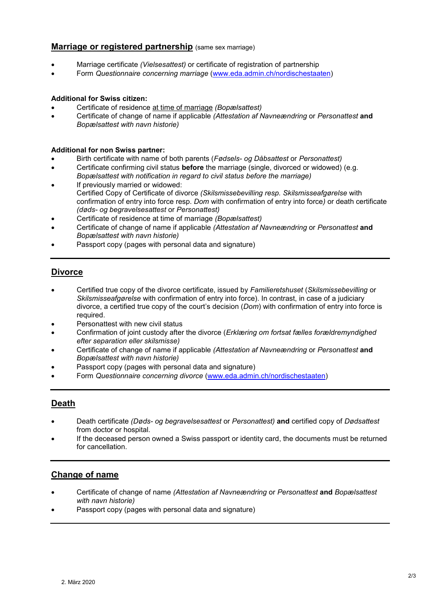### **Marriage or registered partnership** (same sex marriage)

- Marriage certificate *(Vielsesattest)* or certificate of registration of partnership
- Form *Questionnaire concerning marriage* [\(www.eda.admin.ch/nordischestaaten\)](http://www.eda.admin.ch/nordischestaaten)

#### **Additional for Swiss citizen:**

- Certificate of residence at time of marriage *(Bopælsattest)*
- Certificate of change of name if applicable *(Attestation af Navneændring* or *Personattest* **and** *Bopælsattest with navn historie)*

#### **Additional for non Swiss partner:**

- Birth certificate with name of both parents (*Fødsels- og Dåbsattest* or *Personattest)*
- Certificate confirming civil status **before** the marriage (single, divorced or widowed) (e.g.
- *Bopælsattest with notification in regard to civil status before the marriage)* If previously married or widowed:
- Certified Copy of Certificate of divorce *(Skilsmissebevilling resp. Skilsmisseafgørelse* with confirmation of entry into force resp. *Dom* with confirmation of entry into force*)* or death certificate *(døds- og begravelsesattest* or *Personattest)*
- Certificate of residence at time of marriage *(Bopælsattest)*
- Certificate of change of name if applicable *(Attestation af Navneændring* or *Personattest* **and** *Bopælsattest with navn historie)*
- Passport copy (pages with personal data and signature)

## **Divorce**

- Certified true copy of the divorce certificate, issued by *Familieretshuset* (*Skilsmissebevilling* or *Skilsmisseafgørelse* with confirmation of entry into force). In contrast, in case of a judiciary divorce, a certified true copy of the court's decision (*Dom*) with confirmation of entry into force is required.
- Personattest with new civil status
- Confirmation of joint custody after the divorce (*Erklæring om fortsat fælles forældremyndighed efter separation eller skilsmisse)*
- Certificate of change of name if applicable *(Attestation af Navneændring* or *Personattest* **and** *Bopælsattest with navn historie)*
- Passport copy (pages with personal data and signature)
- Form *Questionnaire concerning divorce* [\(www.eda.admin.ch/nordischestaaten\)](http://www.eda.admin.ch/nordischestaaten)

## **Death**

- Death certificate *(Døds- og begravelsesattest* or *Personattest)* **and** certified copy of *Dødsattest*  from doctor or hospital.
- If the deceased person owned a Swiss passport or identity card, the documents must be returned for cancellation.

## **Change of name**

- Certificate of change of name *(Attestation af Navneændring* or *Personattest* **and** *Bopælsattest with navn historie)*
- Passport copy (pages with personal data and signature)